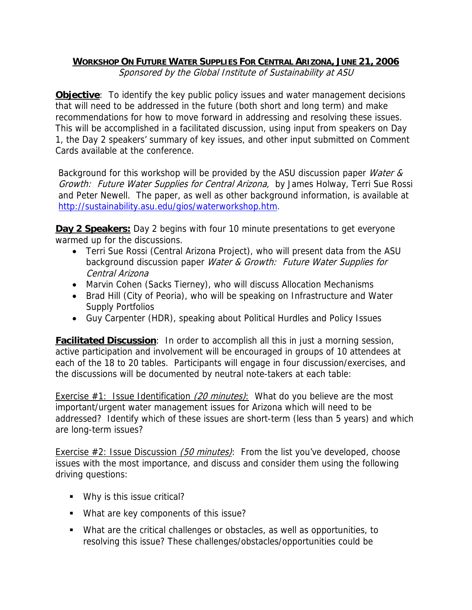## **WORKSHOP ON FUTURE WATER SUPPLIES FOR CENTRAL ARIZONA, JUNE 21, 2006**

Sponsored by the Global Institute of Sustainability at ASU

**Objective**: To identify the key public policy issues and water management decisions that will need to be addressed in the future (both short and long term) and make recommendations for how to move forward in addressing and resolving these issues. This will be accomplished in a facilitated discussion, using input from speakers on Day 1, the Day 2 speakers' summary of key issues, and other input submitted on Comment Cards available at the conference.

Background for this workshop will be provided by the ASU discussion paper *Water &* Growth: Future Water Supplies for Central Arizona, by James Holway, Terri Sue Rossi and Peter Newell. The paper, as well as other background information, is available at http://sustainability.asu.edu/gios/waterworkshop.htm.

**Day 2 Speakers:** Day 2 begins with four 10 minute presentations to get everyone warmed up for the discussions.

- Terri Sue Rossi (Central Arizona Project), who will present data from the ASU background discussion paper Water & Growth: Future Water Supplies for Central Arizona
- Marvin Cohen (Sacks Tierney), who will discuss Allocation Mechanisms
- Brad Hill (City of Peoria), who will be speaking on Infrastructure and Water Supply Portfolios
- Guy Carpenter (HDR), speaking about Political Hurdles and Policy Issues

**Facilitated Discussion**: In order to accomplish all this in just a morning session, active participation and involvement will be encouraged in groups of 10 attendees at each of the 18 to 20 tables. Participants will engage in four discussion/exercises, and the discussions will be documented by neutral note-takers at each table:

Exercise  $#1$ : Issue Identification (20 minutes): What do you believe are the most important/urgent water management issues for Arizona which will need to be addressed? Identify which of these issues are short-term (less than 5 years) and which are long-term issues?

Exercise  $#2$ : Issue Discussion (50 minutes): From the list you've developed, choose issues with the most importance, and discuss and consider them using the following driving questions:

- Why is this issue critical?
- What are key components of this issue?
- What are the critical challenges or obstacles, as well as opportunities, to resolving this issue? These challenges/obstacles/opportunities could be